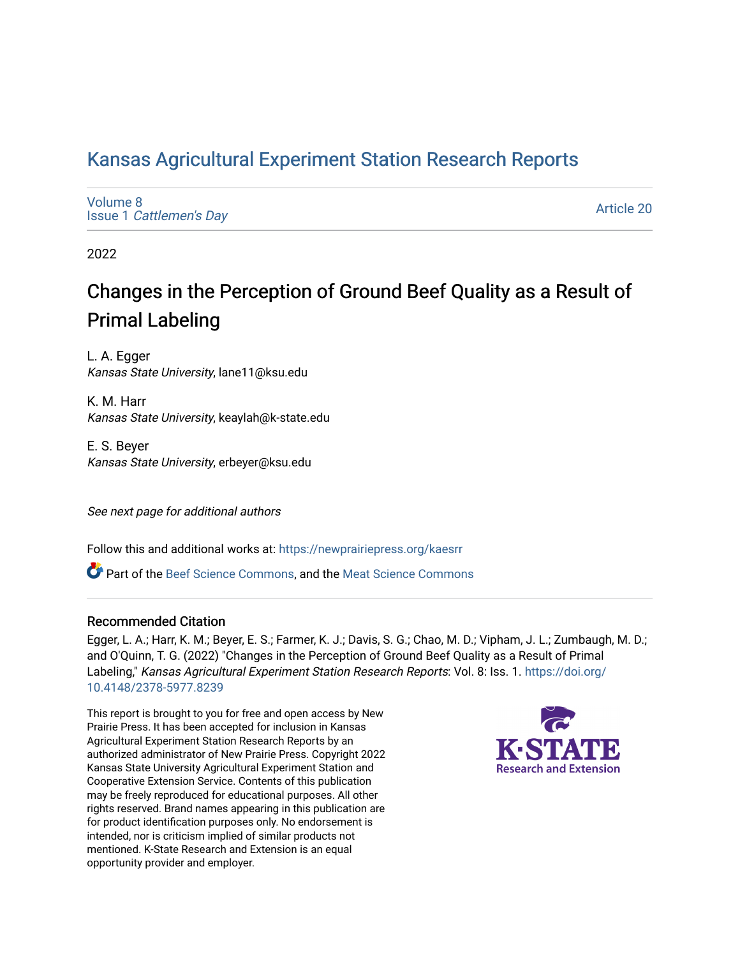## [Kansas Agricultural Experiment Station Research Reports](https://newprairiepress.org/kaesrr)

[Volume 8](https://newprairiepress.org/kaesrr/vol8) Issue 1 [Cattlemen's Day](https://newprairiepress.org/kaesrr/vol8/iss1) 

[Article 20](https://newprairiepress.org/kaesrr/vol8/iss1/20) 

2022

## Changes in the Perception of Ground Beef Quality as a Result of Primal Labeling

L. A. Egger Kansas State University, lane11@ksu.edu

K. M. Harr Kansas State University, keaylah@k-state.edu

E. S. Beyer Kansas State University, erbeyer@ksu.edu

See next page for additional authors

Follow this and additional works at: [https://newprairiepress.org/kaesrr](https://newprairiepress.org/kaesrr?utm_source=newprairiepress.org%2Fkaesrr%2Fvol8%2Fiss1%2F20&utm_medium=PDF&utm_campaign=PDFCoverPages) 

**C** Part of the [Beef Science Commons,](http://network.bepress.com/hgg/discipline/1404?utm_source=newprairiepress.org%2Fkaesrr%2Fvol8%2Fiss1%2F20&utm_medium=PDF&utm_campaign=PDFCoverPages) and the [Meat Science Commons](http://network.bepress.com/hgg/discipline/1301?utm_source=newprairiepress.org%2Fkaesrr%2Fvol8%2Fiss1%2F20&utm_medium=PDF&utm_campaign=PDFCoverPages)

#### Recommended Citation

Egger, L. A.; Harr, K. M.; Beyer, E. S.; Farmer, K. J.; Davis, S. G.; Chao, M. D.; Vipham, J. L.; Zumbaugh, M. D.; and O'Quinn, T. G. (2022) "Changes in the Perception of Ground Beef Quality as a Result of Primal Labeling," Kansas Agricultural Experiment Station Research Reports: Vol. 8: Iss. 1. [https://doi.org/](https://doi.org/10.4148/2378-5977.8239) [10.4148/2378-5977.8239](https://doi.org/10.4148/2378-5977.8239)

This report is brought to you for free and open access by New Prairie Press. It has been accepted for inclusion in Kansas Agricultural Experiment Station Research Reports by an authorized administrator of New Prairie Press. Copyright 2022 Kansas State University Agricultural Experiment Station and Cooperative Extension Service. Contents of this publication may be freely reproduced for educational purposes. All other rights reserved. Brand names appearing in this publication are for product identification purposes only. No endorsement is intended, nor is criticism implied of similar products not mentioned. K-State Research and Extension is an equal opportunity provider and employer.

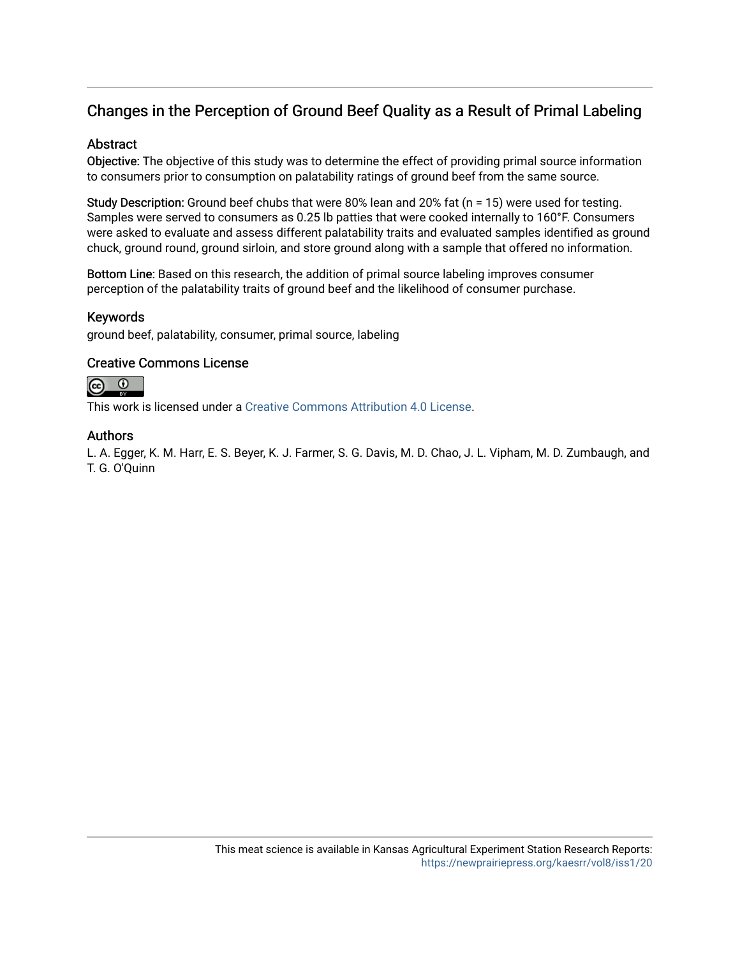## Changes in the Perception of Ground Beef Quality as a Result of Primal Labeling

## **Abstract**

Objective: The objective of this study was to determine the effect of providing primal source information to consumers prior to consumption on palatability ratings of ground beef from the same source.

Study Description: Ground beef chubs that were 80% lean and 20% fat (n = 15) were used for testing. Samples were served to consumers as 0.25 lb patties that were cooked internally to 160°F. Consumers were asked to evaluate and assess different palatability traits and evaluated samples identified as ground chuck, ground round, ground sirloin, and store ground along with a sample that offered no information.

Bottom Line: Based on this research, the addition of primal source labeling improves consumer perception of the palatability traits of ground beef and the likelihood of consumer purchase.

#### Keywords

ground beef, palatability, consumer, primal source, labeling

## Creative Commons License



This work is licensed under a [Creative Commons Attribution 4.0 License](https://creativecommons.org/licenses/by/4.0/).

## Authors

L. A. Egger, K. M. Harr, E. S. Beyer, K. J. Farmer, S. G. Davis, M. D. Chao, J. L. Vipham, M. D. Zumbaugh, and T. G. O'Quinn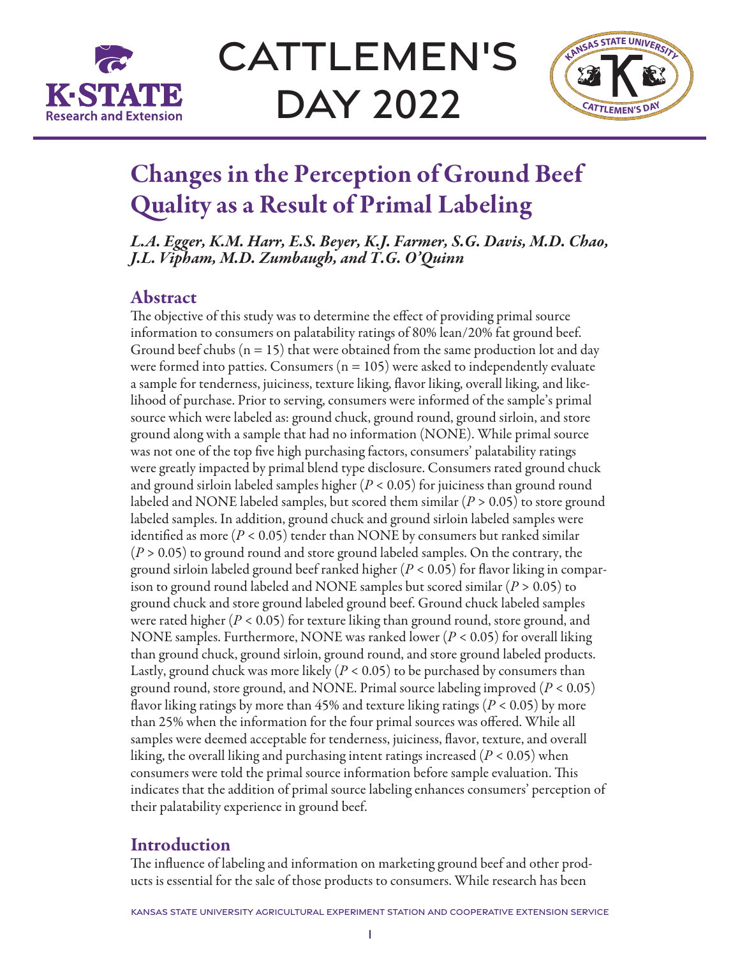

**CATTLEMEN'S** Day 2022



# Changes in the Perception of Ground Beef Quality as a Result of Primal Labeling

*L.A. Egger, K.M. Harr, E.S. Beyer, K.J. Farmer, S.G. Davis, M.D. Chao, J.L. Vipham, M.D. Zumbaugh, and T.G. O'Quinn*

## Abstract

The objective of this study was to determine the effect of providing primal source information to consumers on palatability ratings of 80% lean/20% fat ground beef. Ground beef chubs ( $n = 15$ ) that were obtained from the same production lot and day were formed into patties. Consumers ( $n = 105$ ) were asked to independently evaluate a sample for tenderness, juiciness, texture liking, flavor liking, overall liking, and likelihood of purchase. Prior to serving, consumers were informed of the sample's primal source which were labeled as: ground chuck, ground round, ground sirloin, and store ground along with a sample that had no information (NONE). While primal source was not one of the top five high purchasing factors, consumers' palatability ratings were greatly impacted by primal blend type disclosure. Consumers rated ground chuck and ground sirloin labeled samples higher (*P* < 0.05) for juiciness than ground round labeled and NONE labeled samples, but scored them similar (*P* > 0.05) to store ground labeled samples. In addition, ground chuck and ground sirloin labeled samples were identified as more (*P* < 0.05) tender than NONE by consumers but ranked similar (*P* > 0.05) to ground round and store ground labeled samples. On the contrary, the ground sirloin labeled ground beef ranked higher (*P* < 0.05) for flavor liking in comparison to ground round labeled and NONE samples but scored similar (*P* > 0.05) to ground chuck and store ground labeled ground beef. Ground chuck labeled samples were rated higher (*P* < 0.05) for texture liking than ground round, store ground, and NONE samples. Furthermore, NONE was ranked lower (*P* < 0.05) for overall liking than ground chuck, ground sirloin, ground round, and store ground labeled products. Lastly, ground chuck was more likely  $(P < 0.05)$  to be purchased by consumers than ground round, store ground, and NONE. Primal source labeling improved (*P* < 0.05) flavor liking ratings by more than 45% and texture liking ratings (*P* < 0.05) by more than 25% when the information for the four primal sources was offered. While all samples were deemed acceptable for tenderness, juiciness, flavor, texture, and overall liking, the overall liking and purchasing intent ratings increased (*P* < 0.05) when consumers were told the primal source information before sample evaluation. This indicates that the addition of primal source labeling enhances consumers' perception of their palatability experience in ground beef.

## Introduction

The influence of labeling and information on marketing ground beef and other products is essential for the sale of those products to consumers. While research has been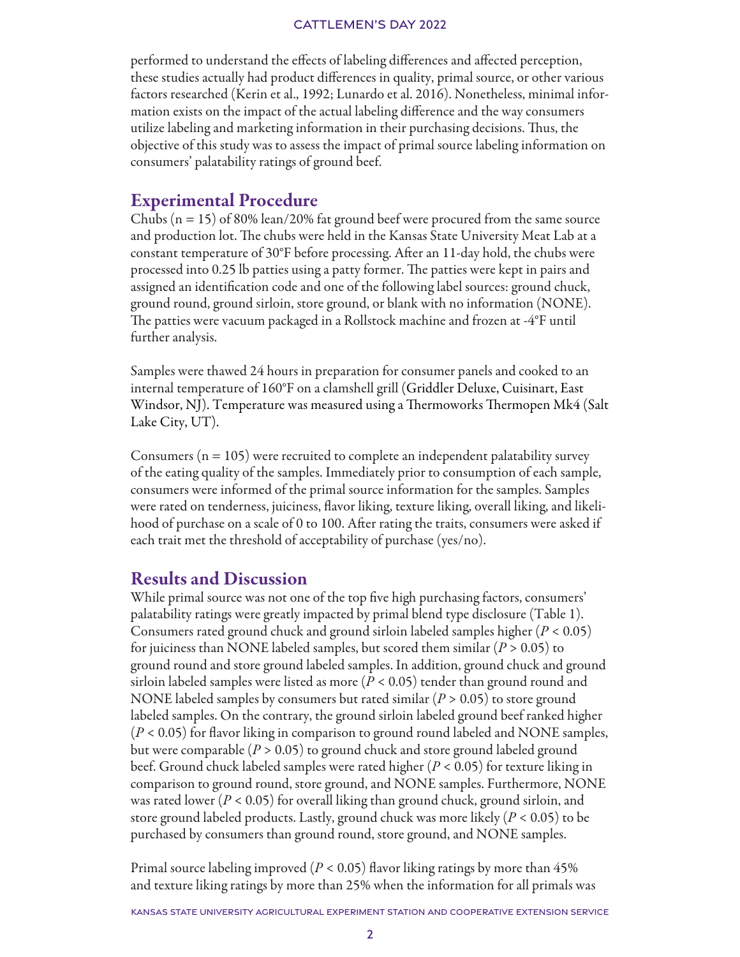#### CATTLEMEN'S DAY 2022

performed to understand the effects of labeling differences and affected perception, these studies actually had product differences in quality, primal source, or other various factors researched (Kerin et al., 1992; Lunardo et al. 2016). Nonetheless, minimal information exists on the impact of the actual labeling difference and the way consumers utilize labeling and marketing information in their purchasing decisions. Thus, the objective of this study was to assess the impact of primal source labeling information on consumers' palatability ratings of ground beef.

## Experimental Procedure

Chubs  $(n = 15)$  of 80% lean/20% fat ground beef were procured from the same source and production lot. The chubs were held in the Kansas State University Meat Lab at a constant temperature of 30°F before processing. After an 11-day hold, the chubs were processed into 0.25 lb patties using a patty former. The patties were kept in pairs and assigned an identification code and one of the following label sources: ground chuck, ground round, ground sirloin, store ground, or blank with no information (NONE). The patties were vacuum packaged in a Rollstock machine and frozen at -4°F until further analysis.

Samples were thawed 24 hours in preparation for consumer panels and cooked to an internal temperature of 160°F on a clamshell grill (Griddler Deluxe, Cuisinart, East Windsor, NJ). Temperature was measured using a Thermoworks Thermopen Mk4 (Salt Lake City, UT).

Consumers ( $n = 105$ ) were recruited to complete an independent palatability survey of the eating quality of the samples. Immediately prior to consumption of each sample, consumers were informed of the primal source information for the samples. Samples were rated on tenderness, juiciness, flavor liking, texture liking, overall liking, and likelihood of purchase on a scale of 0 to 100. After rating the traits, consumers were asked if each trait met the threshold of acceptability of purchase (yes/no).

## Results and Discussion

While primal source was not one of the top five high purchasing factors, consumers' palatability ratings were greatly impacted by primal blend type disclosure (Table 1). Consumers rated ground chuck and ground sirloin labeled samples higher (*P* < 0.05) for juiciness than NONE labeled samples, but scored them similar (*P* > 0.05) to ground round and store ground labeled samples. In addition, ground chuck and ground sirloin labeled samples were listed as more ( $P < 0.05$ ) tender than ground round and NONE labeled samples by consumers but rated similar (*P* > 0.05) to store ground labeled samples. On the contrary, the ground sirloin labeled ground beef ranked higher (*P* < 0.05) for flavor liking in comparison to ground round labeled and NONE samples, but were comparable (*P* > 0.05) to ground chuck and store ground labeled ground beef. Ground chuck labeled samples were rated higher (*P* < 0.05) for texture liking in comparison to ground round, store ground, and NONE samples. Furthermore, NONE was rated lower (*P* < 0.05) for overall liking than ground chuck, ground sirloin, and store ground labeled products. Lastly, ground chuck was more likely (*P* < 0.05) to be purchased by consumers than ground round, store ground, and NONE samples.

Primal source labeling improved (*P* < 0.05) flavor liking ratings by more than 45% and texture liking ratings by more than 25% when the information for all primals was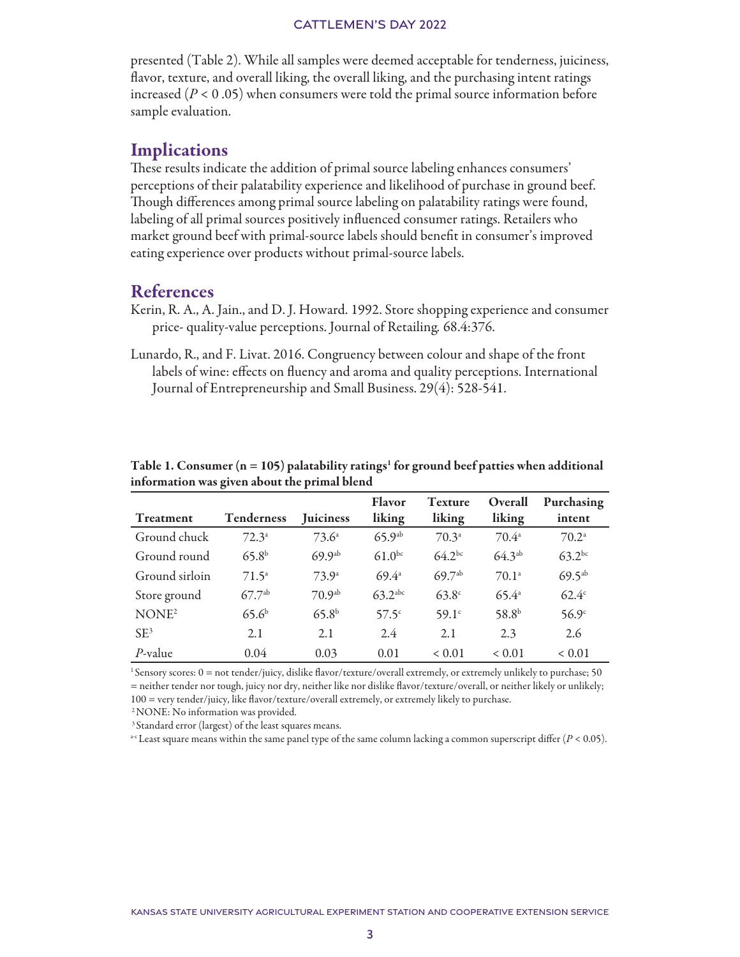#### CATTLEMEN'S DAY 2022

presented (Table 2). While all samples were deemed acceptable for tenderness, juiciness, flavor, texture, and overall liking, the overall liking, and the purchasing intent ratings increased  $(P < 0.05)$  when consumers were told the primal source information before sample evaluation.

## **Implications**

These results indicate the addition of primal source labeling enhances consumers' perceptions of their palatability experience and likelihood of purchase in ground beef. Though differences among primal source labeling on palatability ratings were found, labeling of all primal sources positively influenced consumer ratings. Retailers who market ground beef with primal-source labels should benefit in consumer's improved eating experience over products without primal-source labels.

## References

- Kerin, R. A., A. Jain., and D. J. Howard. 1992. Store shopping experience and consumer price- quality-value perceptions. Journal of Retailing*.* 68.4:376.
- Lunardo, R., and F. Livat. 2016. Congruency between colour and shape of the front labels of wine: effects on fluency and aroma and quality perceptions. International Journal of Entrepreneurship and Small Business. 29(4): 528-541.

| Treatment         | <b>Tenderness</b> | <b>Juiciness</b>  | <b>Flavor</b><br>liking | <b>Texture</b><br>liking | Overall<br>liking | Purchasing<br>intent |
|-------------------|-------------------|-------------------|-------------------------|--------------------------|-------------------|----------------------|
| Ground chuck      | $72.3^a$          | $73.6^{\circ}$    | 65.9 <sup>ab</sup>      | $70.3^{\circ}$           | $70.4^{\circ}$    | $70.2^{\circ}$       |
| Ground round      | 65.8 <sup>b</sup> | 69.9ab            | $61.0^{bc}$             | $64.2^{bc}$              | $64.3^{ab}$       | $63.2^{bc}$          |
| Ground sirloin    | $71.5^{\circ}$    | $73.9^{\circ}$    | $69.4^{\circ}$          | $69.7^{ab}$              | 70.1 <sup>a</sup> | $69.5^{ab}$          |
| Store ground      | $67.7^{ab}$       | $70.9^{ab}$       | $63.2$ <sup>abc</sup>   | $63.8^\circ$             | $65.4^{\circ}$    | $62.4^\circ$         |
| NONE <sup>2</sup> | 65.6 <sup>b</sup> | 65.8 <sup>b</sup> | 57.5 <sup>c</sup>       | 59.1c                    | 58.8 <sup>b</sup> | 56.9 <sup>c</sup>    |
| SF <sup>3</sup>   | 2.1               | 2.1               | 2.4                     | 2.1                      | 2.3               | 2.6                  |
| $P$ -value        | 0.04              | 0.03              | 0.01                    | < 0.01                   | < 0.01            | < 0.01               |

Table 1. Consumer ( $n = 105$ ) palatability ratings<sup>1</sup> for ground beef patties when additional information was given about the primal blend

1 Sensory scores: 0 = not tender/juicy, dislike flavor/texture/overall extremely, or extremely unlikely to purchase; 50 = neither tender nor tough, juicy nor dry, neither like nor dislike flavor/texture/overall, or neither likely or unlikely; 100 = very tender/juicy, like flavor/texture/overall extremely, or extremely likely to purchase.

<sup>2</sup> NONE: No information was provided.

<sup>3</sup> Standard error (largest) of the least squares means.

<sup>a-c</sup> Least square means within the same panel type of the same column lacking a common superscript differ ( $P < 0.05$ ).